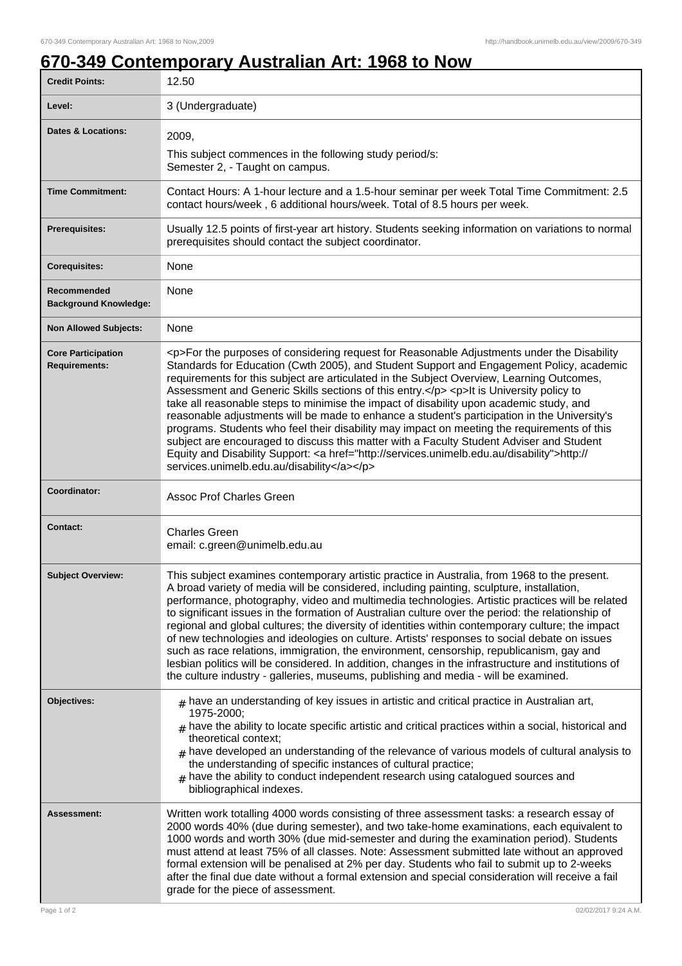## **670-349 Contemporary Australian Art: 1968 to Now**

| <b>Credit Points:</b>                             | 12.50                                                                                                                                                                                                                                                                                                                                                                                                                                                                                                                                                                                                                                                                                                                                                                                                                                                                                                                        |
|---------------------------------------------------|------------------------------------------------------------------------------------------------------------------------------------------------------------------------------------------------------------------------------------------------------------------------------------------------------------------------------------------------------------------------------------------------------------------------------------------------------------------------------------------------------------------------------------------------------------------------------------------------------------------------------------------------------------------------------------------------------------------------------------------------------------------------------------------------------------------------------------------------------------------------------------------------------------------------------|
| Level:                                            | 3 (Undergraduate)                                                                                                                                                                                                                                                                                                                                                                                                                                                                                                                                                                                                                                                                                                                                                                                                                                                                                                            |
| <b>Dates &amp; Locations:</b>                     | 2009,                                                                                                                                                                                                                                                                                                                                                                                                                                                                                                                                                                                                                                                                                                                                                                                                                                                                                                                        |
|                                                   | This subject commences in the following study period/s:<br>Semester 2, - Taught on campus.                                                                                                                                                                                                                                                                                                                                                                                                                                                                                                                                                                                                                                                                                                                                                                                                                                   |
| <b>Time Commitment:</b>                           | Contact Hours: A 1-hour lecture and a 1.5-hour seminar per week Total Time Commitment: 2.5<br>contact hours/week, 6 additional hours/week. Total of 8.5 hours per week.                                                                                                                                                                                                                                                                                                                                                                                                                                                                                                                                                                                                                                                                                                                                                      |
| <b>Prerequisites:</b>                             | Usually 12.5 points of first-year art history. Students seeking information on variations to normal<br>prerequisites should contact the subject coordinator.                                                                                                                                                                                                                                                                                                                                                                                                                                                                                                                                                                                                                                                                                                                                                                 |
| <b>Corequisites:</b>                              | None                                                                                                                                                                                                                                                                                                                                                                                                                                                                                                                                                                                                                                                                                                                                                                                                                                                                                                                         |
| Recommended<br><b>Background Knowledge:</b>       | None                                                                                                                                                                                                                                                                                                                                                                                                                                                                                                                                                                                                                                                                                                                                                                                                                                                                                                                         |
| <b>Non Allowed Subjects:</b>                      | None                                                                                                                                                                                                                                                                                                                                                                                                                                                                                                                                                                                                                                                                                                                                                                                                                                                                                                                         |
| <b>Core Participation</b><br><b>Requirements:</b> | <p>For the purposes of considering request for Reasonable Adjustments under the Disability<br/>Standards for Education (Cwth 2005), and Student Support and Engagement Policy, academic<br/>requirements for this subject are articulated in the Subject Overview, Learning Outcomes,<br/>Assessment and Generic Skills sections of this entry.</p> <p>lt is University policy to<br/>take all reasonable steps to minimise the impact of disability upon academic study, and<br/>reasonable adjustments will be made to enhance a student's participation in the University's<br/>programs. Students who feel their disability may impact on meeting the requirements of this<br/>subject are encouraged to discuss this matter with a Faculty Student Adviser and Student<br/>Equity and Disability Support: &lt; a href="http://services.unimelb.edu.au/disability"&gt;http://<br/>services.unimelb.edu.au/disability</p> |
| Coordinator:                                      | <b>Assoc Prof Charles Green</b>                                                                                                                                                                                                                                                                                                                                                                                                                                                                                                                                                                                                                                                                                                                                                                                                                                                                                              |
| <b>Contact:</b>                                   | <b>Charles Green</b><br>email: c.green@unimelb.edu.au                                                                                                                                                                                                                                                                                                                                                                                                                                                                                                                                                                                                                                                                                                                                                                                                                                                                        |
| <b>Subject Overview:</b>                          | This subject examines contemporary artistic practice in Australia, from 1968 to the present.<br>A broad variety of media will be considered, including painting, sculpture, installation,<br>performance, photography, video and multimedia technologies. Artistic practices will be related<br>to significant issues in the formation of Australian culture over the period: the relationship of<br>regional and global cultures; the diversity of identities within contemporary culture; the impact<br>of new technologies and ideologies on culture. Artists' responses to social debate on issues<br>such as race relations, immigration, the environment, censorship, republicanism, gay and<br>lesbian politics will be considered. In addition, changes in the infrastructure and institutions of<br>the culture industry - galleries, museums, publishing and media - will be examined.                             |
| Objectives:                                       | $_{\rm H}$ have an understanding of key issues in artistic and critical practice in Australian art,<br>1975-2000;<br>$_{\#}$ have the ability to locate specific artistic and critical practices within a social, historical and<br>theoretical context;<br>$#$ have developed an understanding of the relevance of various models of cultural analysis to<br>the understanding of specific instances of cultural practice;<br>$_{\#}$ have the ability to conduct independent research using catalogued sources and<br>bibliographical indexes.                                                                                                                                                                                                                                                                                                                                                                             |
| Assessment:                                       | Written work totalling 4000 words consisting of three assessment tasks: a research essay of<br>2000 words 40% (due during semester), and two take-home examinations, each equivalent to<br>1000 words and worth 30% (due mid-semester and during the examination period). Students<br>must attend at least 75% of all classes. Note: Assessment submitted late without an approved<br>formal extension will be penalised at 2% per day. Students who fail to submit up to 2-weeks<br>after the final due date without a formal extension and special consideration will receive a fail<br>grade for the piece of assessment.                                                                                                                                                                                                                                                                                                 |